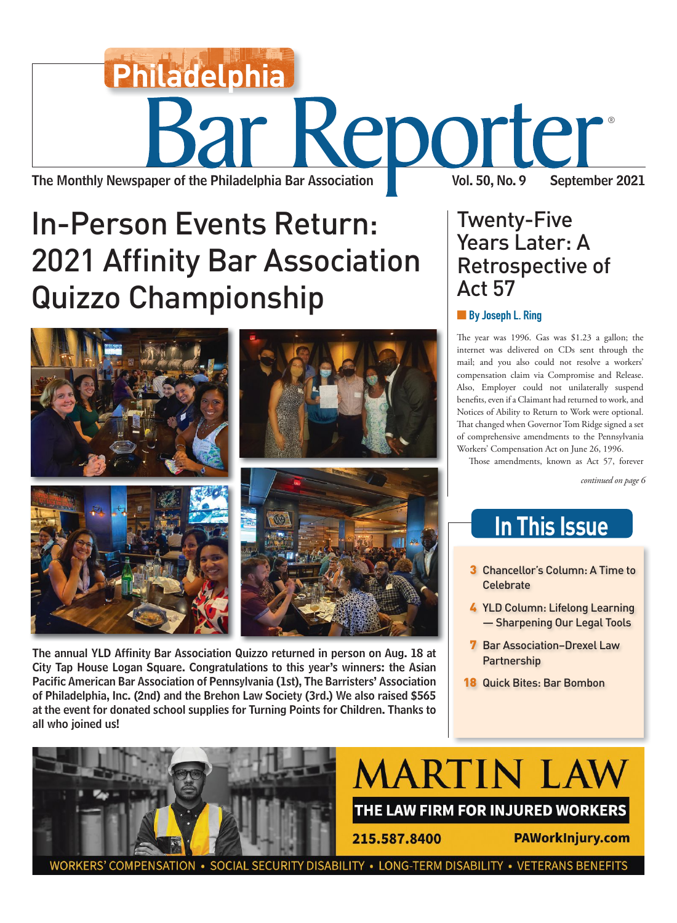# The Monthly Newspaper of the Philadelphia Bar Association Vol. 50, No. 9 September 2021 Keporter® **Philadelphia**

## **In-Person Events Return: 2021 Affinity Bar Association** 2021 - 2022 Affinity Barnetts<br>Barnetts Barnetts



The annual YLD Affinity Bar Association Quizzo returned in person on Aug. 18 at City Tap House Logan Square. Congratulations to this year's winners: the Asian Pacific American Bar Association of Pennsylvania (1st), The Barristers' Association of Philadelphia, Inc. (2nd) and the Brehon Law Society (3rd.) We also raised \$565 at the event for donated school supplies for Turning Points for Children. Thanks to all who joined us!

## Twenty-Five<br>Years Later: A Retrospective of Act 57

#### **Act 57**<br>**Act 57**<br>**Act 57**<br>**Act 57 De** By Joseph L. Ring

The year was 1996. Gas was \$1.23 a gallon; the internet was delivered on CDs sent through the mail; and you also could not resolve a workers' compensation claim via Compromise and Release. Also, Employer could not unilaterally suspend benefits, even if a Claimant had returned to work, and Notices of Ability to Return to Work were optional. That changed when Governor Tom Ridge signed a set of comprehensive amendments to the Pennsylvania Workers' Compensation Act on June 26, 1996.

Those amendments, known as Act 57, forever

*continued on page 6*

### **In This Issue**

- **3** Chancellor's Column: A Time to<br>Celebrate
- 4 YLD Column: Lifelong Learning<br>
Sharpening Our Legal Tools — Sharpening Our Legal Tools
- **7** Bar Association–Drexel Law<br>Partnership Partnership
- **18 Quick Bites: Bar Bombon**



DISABILITY . LONG-TERM DISABILITY . VETERANS BENEFITS **COMPENSATION**  $\cdot$  SOCIAL SECURITY